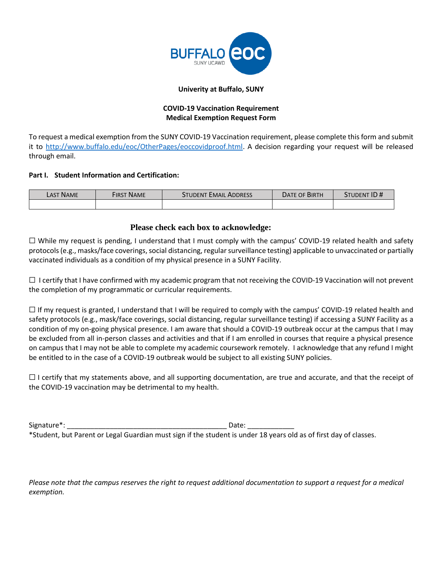

#### **Univerity at Buffalo, SUNY**

# **COVID-19 Vaccination Requirement Medical Exemption Request Form**

To request a medical exemption from the SUNY COVID-19 Vaccination requirement, please complete this form and submit it to [http://www.buffalo.edu/eoc/OtherPages/eoccovidproof.html.](http://www.buffalo.edu/eoc/OtherPages/eoccovidproof.html) A decision regarding your request will be released through email.

## **Part I. Student Information and Certification:**

| Last Name | <b>FIRST NAME</b> | <b>STUDENT EMAIL ADDRESS</b> | DATE OF BIRTH | STUDENT ID# |
|-----------|-------------------|------------------------------|---------------|-------------|
|           |                   |                              |               |             |

# **Please check each box to acknowledge:**

☐ While my request is pending, I understand that I must comply with the campus' COVID-19 related health and safety protocols (e.g., masks/face coverings, social distancing, regular surveillance testing) applicable to unvaccinated or partially vaccinated individuals as a condition of my physical presence in a SUNY Facility.

 $\Box$  I certify that I have confirmed with my academic program that not receiving the COVID-19 Vaccination will not prevent the completion of my programmatic or curricular requirements.

 $\Box$  If my request is granted, I understand that I will be required to comply with the campus' COVID-19 related health and safety protocols (e.g., mask/face coverings, social distancing, regular surveillance testing) if accessing a SUNY Facility as a condition of my on-going physical presence. I am aware that should a COVID-19 outbreak occur at the campus that I may be excluded from all in-person classes and activities and that if I am enrolled in courses that require a physical presence on campus that I may not be able to complete my academic coursework remotely. I acknowledge that any refund I might be entitled to in the case of a COVID-19 outbreak would be subject to all existing SUNY policies.

 $\Box$  I certify that my statements above, and all supporting documentation, are true and accurate, and that the receipt of the COVID-19 vaccination may be detrimental to my health.

Signature\*: The contract of the contract of the contract of the contract of the contract of the contract of the contract of the contract of the contract of the contract of the contract of the contract of the contract of th

\*Student, but Parent or Legal Guardian must sign if the student is under 18 years old as of first day of classes.

*Please note that the campus reserves the right to request additional documentation to support a request for a medical exemption.*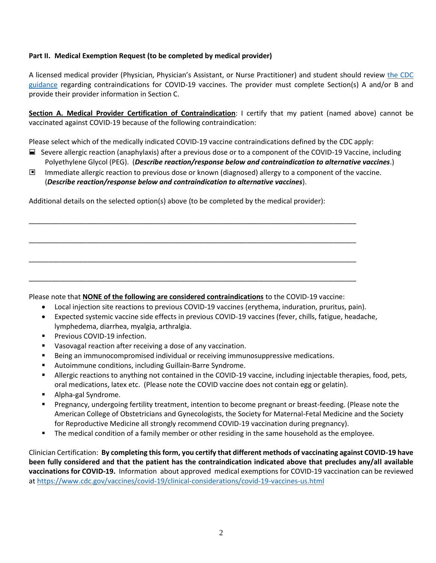## **Part II. Medical Exemption Request (to be completed by medical provider)**

A licensed medical provider (Physician, Physician's Assistant, or Nurse Practitioner) and student should review [the CDC](https://www.cdc.gov/vaccines/covid-19/clinical-considerations/covid-19-vaccines-us.html)  [guidance](https://www.cdc.gov/vaccines/covid-19/clinical-considerations/covid-19-vaccines-us.html) regarding contraindications for COVID-19 vaccines. The provider must complete Section(s) A and/or B and provide their provider information in Section C.

**Section A. Medical Provider Certification of Contraindication**: I certify that my patient (named above) cannot be vaccinated against COVID-19 because of the following contraindication:

Please select which of the medically indicated COVID-19 vaccine contraindications defined by the CDC apply:

- ☐ Severe allergic reaction (anaphylaxis) after a previous dose or to a component of the COVID-19 Vaccine, including Polyethylene Glycol (PEG). (*Describe reaction/response below and contraindication to alternative vaccines*.)
- Immediate allergic reaction to previous dose or known (diagnosed) allergy to a component of the vaccine. (*Describe reaction/response below and contraindication to alternative vaccines*). ■

Additional details on the selected option(s) above (to be completed by the medical provider):

\_\_\_\_\_\_\_\_\_\_\_\_\_\_\_\_\_\_\_\_\_\_\_\_\_\_\_\_\_\_\_\_\_\_\_\_\_\_\_\_\_\_\_\_\_\_\_\_\_\_\_\_\_\_\_\_\_\_\_\_\_\_\_\_\_\_\_\_\_\_\_\_\_\_\_\_\_\_\_\_\_\_\_\_

\_\_\_\_\_\_\_\_\_\_\_\_\_\_\_\_\_\_\_\_\_\_\_\_\_\_\_\_\_\_\_\_\_\_\_\_\_\_\_\_\_\_\_\_\_\_\_\_\_\_\_\_\_\_\_\_\_\_\_\_\_\_\_\_\_\_\_\_\_\_\_\_\_\_\_\_\_\_\_\_\_\_\_\_

\_\_\_\_\_\_\_\_\_\_\_\_\_\_\_\_\_\_\_\_\_\_\_\_\_\_\_\_\_\_\_\_\_\_\_\_\_\_\_\_\_\_\_\_\_\_\_\_\_\_\_\_\_\_\_\_\_\_\_\_\_\_\_\_\_\_\_\_\_\_\_\_\_\_\_\_\_\_\_\_\_\_\_\_

\_\_\_\_\_\_\_\_\_\_\_\_\_\_\_\_\_\_\_\_\_\_\_\_\_\_\_\_\_\_\_\_\_\_\_\_\_\_\_\_\_\_\_\_\_\_\_\_\_\_\_\_\_\_\_\_\_\_\_\_\_\_\_\_\_\_\_\_\_\_\_\_\_\_\_\_\_\_\_\_\_\_\_\_

Please note that **NONE of the following are considered contraindications** to the COVID-19 vaccine:

- Local injection site reactions to previous COVID-19 vaccines (erythema, induration, pruritus, pain).
- Expected systemic vaccine side effects in previous COVID-19 vaccines (fever, chills, fatigue, headache, lymphedema, diarrhea, myalgia, arthralgia.
- Previous COVID-19 infection.
- Vasovagal reaction after receiving a dose of any vaccination.
- **EXECT Being an immunocompromised individual or receiving immunosuppressive medications.**
- Autoimmune conditions, including Guillain-Barre Syndrome.
- Allergic reactions to anything not contained in the COVID-19 vaccine, including injectable therapies, food, pets, oral medications, latex etc. (Please note the COVID vaccine does not contain egg or gelatin).
- Alpha-gal Syndrome.
- Pregnancy, undergoing fertility treatment, intention to become pregnant or breast-feeding. (Please note the American College of Obstetricians and Gynecologists, the Society for Maternal-Fetal Medicine and the Society for Reproductive Medicine all strongly recommend COVID-19 vaccination during pregnancy).
- The medical condition of a family member or other residing in the same household as the employee.

Clinician Certification: **By completing this form, you certify that different methods of vaccinating against COVID-19 have been fully considered and that the patient has the contraindication indicated above that precludes any/all available vaccinations for COVID-19.** Information about approved medical exemptions for COVID-19 vaccination can be reviewed at<https://www.cdc.gov/vaccines/covid-19/clinical-considerations/covid-19-vaccines-us.html>